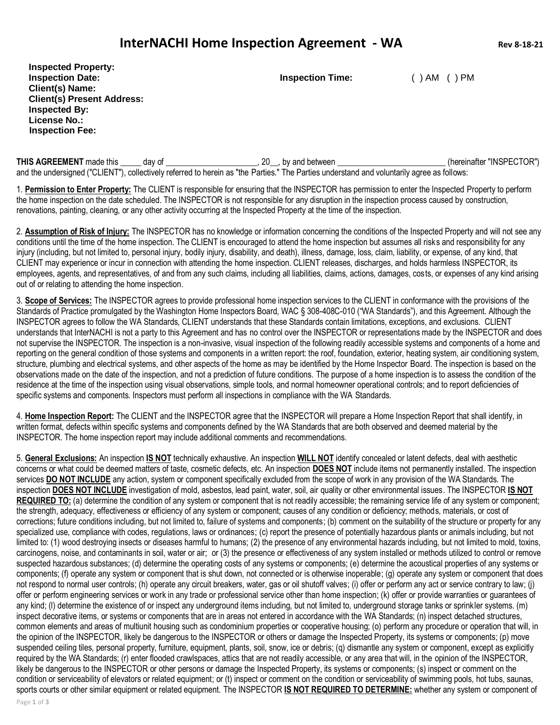## **InterNACHI Home Inspection Agreement - WA Rev 8-18-21**

**Inspected Property: Inspection Date: Inspection Time:** ( ) AM ( ) PM **Client(s) Name: Client(s) Present Address: Inspected By: License No.: Inspection Fee:**

THIS AGREEMENT made this \_\_\_\_\_ day of \_\_\_\_\_\_\_\_\_\_\_\_\_\_\_\_\_\_\_\_\_, 20\_\_, by and between \_\_\_\_\_\_\_\_\_\_\_\_\_\_\_\_\_\_\_\_\_\_\_\_\_(hereinafter "INSPECTOR") and the undersigned ("CLIENT"), collectively referred to herein as "the Parties." The Parties understand and voluntarily agree as follows:

1. **Permission to Enter Property:** The CLIENT is responsible for ensuring that the INSPECTOR has permission to enter the Inspected Property to perform the home inspection on the date scheduled. The INSPECTOR is not responsible for any disruption in the inspection process caused by construction, renovations, painting, cleaning, or any other activity occurring at the Inspected Property at the time of the inspection.

2. **Assumption of Risk of Injury:** The INSPECTOR has no knowledge or information concerning the conditions of the Inspected Property and will not see any conditions until the time of the home inspection. The CLIENT is encouraged to attend the home inspection but assumes all risks and responsibility for any injury (including, but not limited to, personal injury, bodily injury, disability, and death), illness, damage, loss, claim, liability, or expense, of any kind, that CLIENT may experience or incur in connection with attending the home inspection. CLIENT releases, discharges, and holds harmless INSPECTOR, its employees, agents, and representatives, of and from any such claims, including all liabilities, claims, actions, damages, costs, or expenses of any kind arising out of or relating to attending the home inspection.

3. **Scope of Services:** The INSPECTOR agrees to provide professional home inspection services to the CLIENT in conformance with the provisions of the Standards of Practice promulgated by the Washington Home Inspectors Board, WAC § 308-408C-010 ("WA Standards"), and this Agreement. Although the INSPECTOR agrees to follow the WA Standards, CLIENT understands that these Standards contain limitations, exceptions, and exclusions. CLIENT understands that InterNACHI is not a party to this Agreement and has no control over the INSPECTOR or representations made by the INSPECTOR and does not supervise the INSPECTOR. The inspection is a non-invasive, visual inspection of the following readily accessible systems and components of a home and reporting on the general condition of those systems and components in a written report: the roof, foundation, exterior, heating system, air conditioning system, structure, plumbing and electrical systems, and other aspects of the home as may be identified by the Home Inspector Board. The inspection is based on the observations made on the date of the inspection, and not a prediction of future conditions. The purpose of a home inspection is to assess the condition of the residence at the time of the inspection using visual observations, simple tools, and normal homeowner operational controls; and to report deficiencies of specific systems and components. Inspectors must perform all inspections in compliance with the WA Standards.

4. **Home Inspection Report:** The CLIENT and the INSPECTOR agree that the INSPECTOR will prepare a Home Inspection Report that shall identify, in written format, defects within specific systems and components defined by the WA Standards that are both observed and deemed material by the INSPECTOR. The home inspection report may include additional comments and recommendations.

5. **General Exclusions:** An inspection **IS NOT** technically exhaustive. An inspection **WILL NOT** identify concealed or latent defects, deal with aesthetic concerns or what could be deemed matters of taste, cosmetic defects, etc. An inspection **DOES NOT** include items not permanently installed. The inspection services **DO NOT INCLUDE** any action, system or component specifically excluded from the scope of work in any provision of the WA Standards. The inspection **DOES NOT INCLUDE** investigation of mold, asbestos, lead paint, water, soil, air quality or other environmental issues. The INSPECTOR **IS NOT REQUIRED TO:** (a) determine the condition of any system or component that is not readily accessible; the remaining service life of any system or component; the strength, adequacy, effectiveness or efficiency of any system or component; causes of any condition or deficiency; methods, materials, or cost of corrections; future conditions including, but not limited to, failure of systems and components; (b) comment on the suitability of the structure or property for any specialized use, compliance with codes, regulations, laws or ordinances; (c) report the presence of potentially hazardous plants or animals including, but not limited to: (1) wood destroying insects or diseases harmful to humans; (2) the presence of any environmental hazards including, but not limited to mold, toxins, carcinogens, noise, and contaminants in soil, water or air; or (3) the presence or effectiveness of any system installed or methods utilized to control or remove suspected hazardous substances; (d) determine the operating costs of any systems or components; (e) determine the acoustical properties of any systems or components; (f) operate any system or component that is shut down, not connected or is otherwise inoperable; (g) operate any system or component that does not respond to normal user controls; (h) operate any circuit breakers, water, gas or oil shutoff valves; (i) offer or perform any act or service contrary to law; (j) offer or perform engineering services or work in any trade or professional service other than home inspection; (k) offer or provide warranties or guarantees of any kind; (l) determine the existence of or inspect any underground items including, but not limited to, underground storage tanks or sprinkler systems. (m) inspect decorative items, or systems or components that are in areas not entered in accordance with the WA Standards; (n) inspect detached structures, common elements and areas of multiunit housing such as condominium properties or cooperative housing; (o) perform any procedure or operation that will, in the opinion of the INSPECTOR, likely be dangerous to the INSPECTOR or others or damage the Inspected Property, its systems or components; (p) move suspended ceiling tiles, personal property, furniture, equipment, plants, soil, snow, ice or debris; (q) dismantle any system or component, except as explicitly required by the WA Standards; (r) enter flooded crawlspaces, attics that are not readily accessible, or any area that will, in the opinion of the INSPECTOR, likely be dangerous to the INSPECTOR or other persons or damage the Inspected Property, its systems or components; (s) inspect or comment on the condition or serviceability of elevators or related equipment; or (t) inspect or comment on the condition or serviceability of swimming pools, hot tubs, saunas, sports courts or other similar equipment or related equipment. The INSPECTOR **IS NOT REQUIRED TO DETERMINE:** whether any system or component of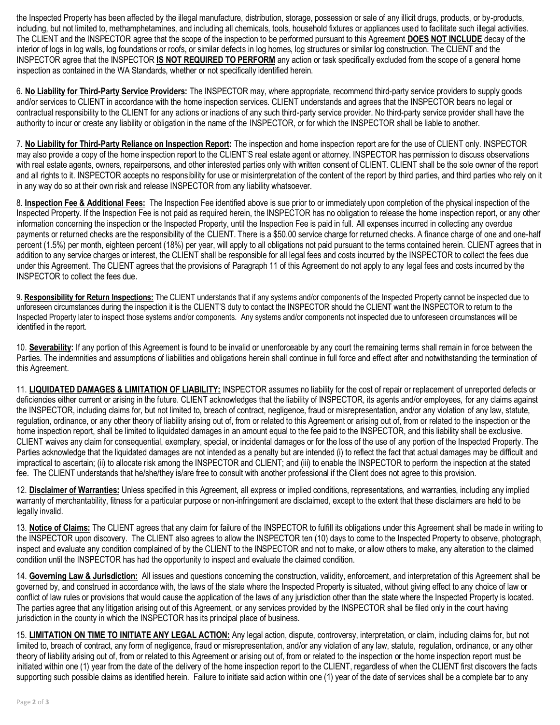the Inspected Property has been affected by the illegal manufacture, distribution, storage, possession or sale of any illicit drugs, products, or by-products, including, but not limited to, methamphetamines, and including all chemicals, tools, household fixtures or appliances used to facilitate such illegal activities. The CLIENT and the INSPECTOR agree that the scope of the inspection to be performed pursuant to this Agreement **DOES NOT INCLUDE** decay of the interior of logs in log walls, log foundations or roofs, or similar defects in log homes, log structures or similar log construction. The CLIENT and the INSPECTOR agree that the INSPECTOR **IS NOT REQUIRED TO PERFORM** any action or task specifically excluded from the scope of a general home inspection as contained in the WA Standards, whether or not specifically identified herein.

6. **No Liability for Third-Party Service Providers:** The INSPECTOR may, where appropriate, recommend third-party service providers to supply goods and/or services to CLIENT in accordance with the home inspection services. CLIENT understands and agrees that the INSPECTOR bears no legal or contractual responsibility to the CLIENT for any actions or inactions of any such third-party service provider. No third-party service provider shall have the authority to incur or create any liability or obligation in the name of the INSPECTOR, or for which the INSPECTOR shall be liable to another.

7. **No Liability for Third-Party Reliance on Inspection Report:** The inspection and home inspection report are for the use of CLIENT only. INSPECTOR may also provide a copy of the home inspection report to the CLIENT'S real estate agent or attorney. INSPECTOR has permission to discuss observations with real estate agents, owners, repairpersons, and other interested parties only with written consent of CLIENT. CLIENT shall be the sole owner of the report and all rights to it. INSPECTOR accepts no responsibility for use or misinterpretation of the content of the report by third parties, and third parties who rely on it in any way do so at their own risk and release INSPECTOR from any liability whatsoever.

8. **Inspection Fee & Additional Fees:** The Inspection Fee identified above is sue prior to or immediately upon completion of the physical inspection of the Inspected Property. If the Inspection Fee is not paid as required herein, the INSPECTOR has no obligation to release the home inspection report, or any other information concerning the inspection or the Inspected Property, until the Inspection Fee is paid in full. All expenses incurred in collecting any overdue payments or returned checks are the responsibility of the CLIENT. There is a \$50.00 service charge for returned checks. A finance charge of one and one-half percent (1.5%) per month, eighteen percent (18%) per year, will apply to all obligations not paid pursuant to the terms contained herein. CLIENT agrees that in addition to any service charges or interest, the CLIENT shall be responsible for all legal fees and costs incurred by the INSPECTOR to collect the fees due under this Agreement. The CLIENT agrees that the provisions of Paragraph 11 of this Agreement do not apply to any legal fees and costs incurred by the INSPECTOR to collect the fees due.

9. **Responsibility for Return Inspections:** The CLIENT understands that if any systems and/or components of the Inspected Property cannot be inspected due to unforeseen circumstances during the inspection it is the CLIENT'S duty to contact the INSPECTOR should the CLIENT want the INSPECTOR to return to the Inspected Property later to inspect those systems and/or components. Any systems and/or components not inspected due to unforeseen circumstances will be identified in the report.

10. **Severability:** If any portion of this Agreement is found to be invalid or unenforceable by any court the remaining terms shall remain in force between the Parties. The indemnities and assumptions of liabilities and obligations herein shall continue in full force and effect after and notwithstanding the termination of this Agreement.

11. **LIQUIDATED DAMAGES & LIMITATION OF LIABILITY:** INSPECTOR assumes no liability for the cost of repair or replacement of unreported defects or deficiencies either current or arising in the future. CLIENT acknowledges that the liability of INSPECTOR, its agents and/or employees, for any claims against the INSPECTOR, including claims for, but not limited to, breach of contract, negligence, fraud or misrepresentation, and/or any violation of any law, statute, regulation, ordinance, or any other theory of liability arising out of, from or related to this Agreement or arising out of, from or related to the inspection or the home inspection report, shall be limited to liquidated damages in an amount equal to the fee paid to the INSPECTOR, and this liability shall be exclusive. CLIENT waives any claim for consequential, exemplary, special, or incidental damages or for the loss of the use of any portion of the Inspected Property. The Parties acknowledge that the liquidated damages are not intended as a penalty but are intended (i) to reflect the fact that actual damages may be difficult and impractical to ascertain; (ii) to allocate risk among the INSPECTOR and CLIENT; and (iii) to enable the INSPECTOR to perform the inspection at the stated fee. The CLIENT understands that he/she/they is/are free to consult with another professional if the Client does not agree to this provision.

12. **Disclaimer of Warranties:** Unless specified in this Agreement, all express or implied conditions, representations, and warranties, including any implied warranty of merchantability, fitness for a particular purpose or non-infringement are disclaimed, except to the extent that these disclaimers are held to be legally invalid.

13. **Notice of Claims:** The CLIENT agrees that any claim for failure of the INSPECTOR to fulfill its obligations under this Agreement shall be made in writing to the INSPECTOR upon discovery. The CLIENT also agrees to allow the INSPECTOR ten (10) days to come to the Inspected Property to observe, photograph, inspect and evaluate any condition complained of by the CLIENT to the INSPECTOR and not to make, or allow others to make, any alteration to the claimed condition until the INSPECTOR has had the opportunity to inspect and evaluate the claimed condition.

14. **Governing Law & Jurisdiction:** All issues and questions concerning the construction, validity, enforcement, and interpretation of this Agreement shall be governed by, and construed in accordance with, the laws of the state where the Inspected Property is situated, without giving effect to any choice of law or conflict of law rules or provisions that would cause the application of the laws of any jurisdiction other than the state where the Inspected Property is located. The parties agree that any litigation arising out of this Agreement, or any services provided by the INSPECTOR shall be filed only in the court having jurisdiction in the county in which the INSPECTOR has its principal place of business.

15. **LIMITATION ON TIME TO INITIATE ANY LEGAL ACTION:** Any legal action, dispute, controversy, interpretation, or claim, including claims for, but not limited to, breach of contract, any form of negligence, fraud or misrepresentation, and/or any violation of any law, statute, regulation, ordinance, or any other theory of liability arising out of, from or related to this Agreement or arising out of, from or related to the inspection or the home inspection report must be initiated within one (1) year from the date of the delivery of the home inspection report to the CLIENT, regardless of when the CLIENT first discovers the facts supporting such possible claims as identified herein. Failure to initiate said action within one (1) year of the date of services shall be a complete bar to any